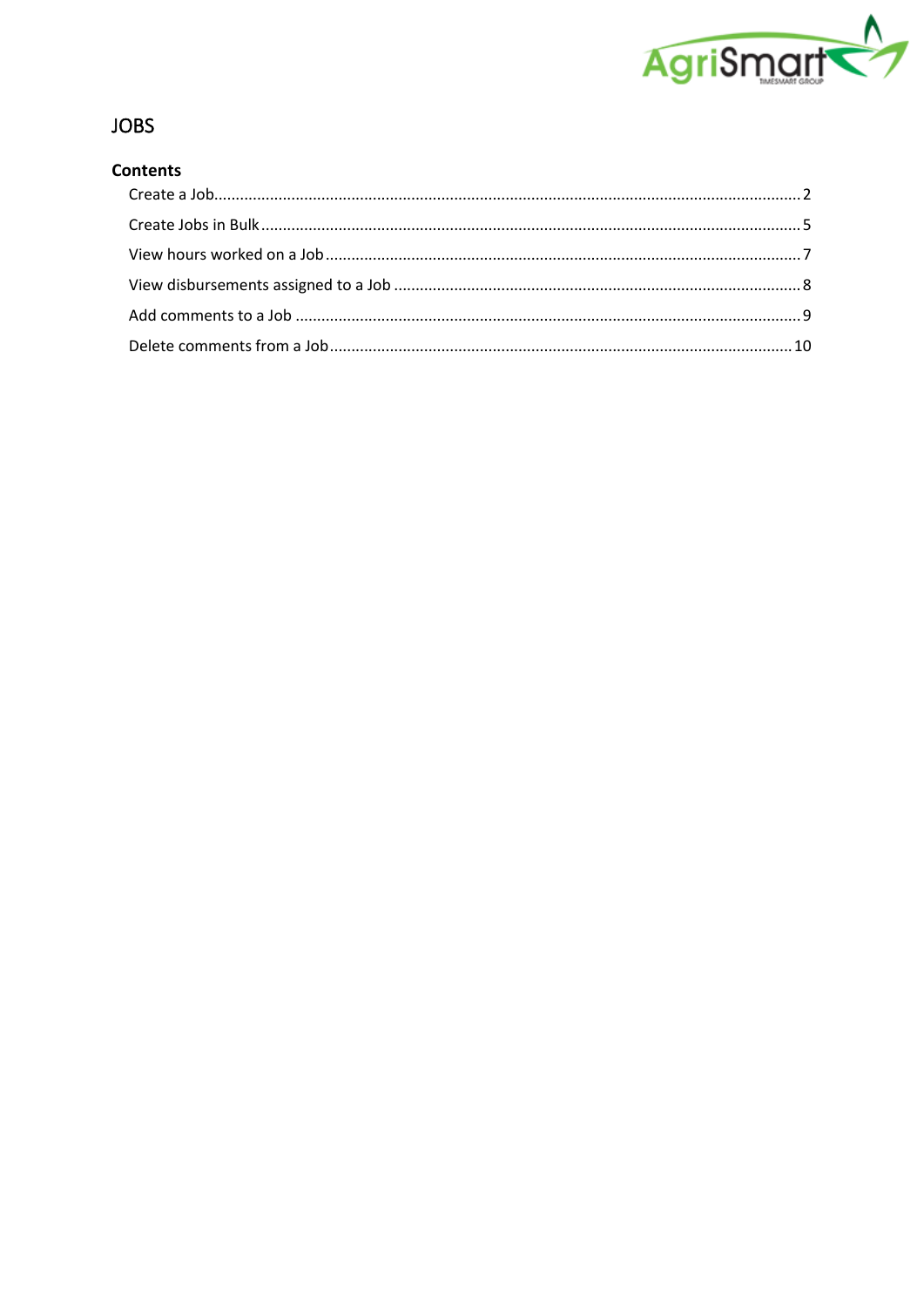

# **JOBS**

# **Contents**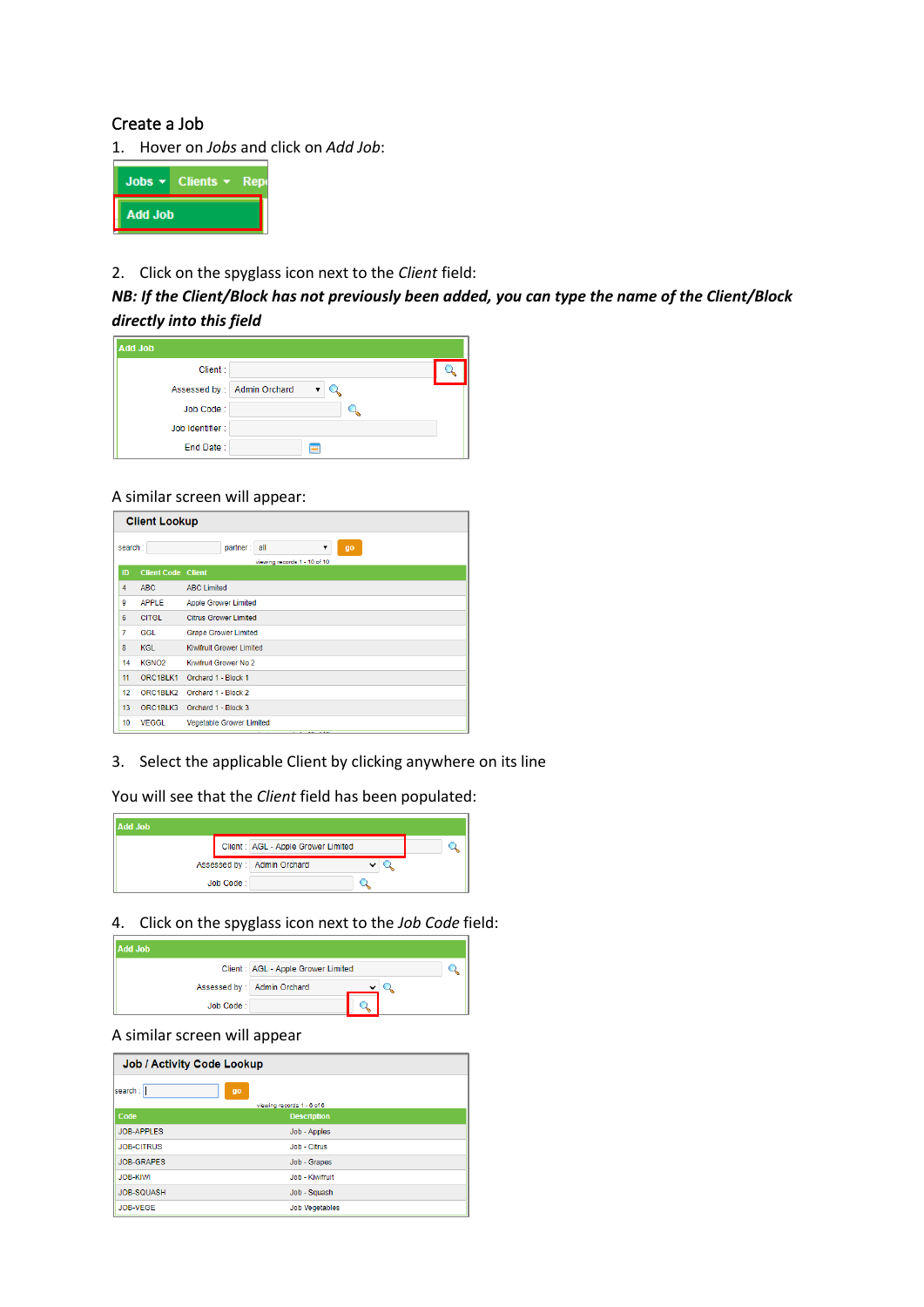### <span id="page-1-0"></span>Create a Job

1. Hover on *Jobs* and click on *Add Job*:



#### 2. Click on the spyglass icon next to the *Client* field:

## *NB: If the Client/Block has not previously been added, you can type the name of the Client/Block directly into this field*

| <b>Add Job</b>  |                            |  |
|-----------------|----------------------------|--|
| Client:         |                            |  |
|                 | Assessed by: Admin Orchard |  |
| Job Code:       |                            |  |
| Job Identifier: |                            |  |
| End Date:       |                            |  |

#### A similar screen will appear:

|                 | <b>Client Lookup</b>      |                                                            |  |  |  |  |  |
|-----------------|---------------------------|------------------------------------------------------------|--|--|--|--|--|
| search:         |                           | partner:<br>all<br>go<br>▼<br>viewing records 1 - 10 of 10 |  |  |  |  |  |
| ID              | <b>Client Code Client</b> |                                                            |  |  |  |  |  |
| 4               | ABC.                      | <b>ABC Limited</b>                                         |  |  |  |  |  |
| 9               | <b>APPLE</b>              | <b>Apple Grower Limited</b>                                |  |  |  |  |  |
| 6               | <b>CITGL</b>              | <b>Citrus Grower Limited</b>                               |  |  |  |  |  |
| $\overline{7}$  | <b>GGL</b>                | <b>Grape Grower Limited</b>                                |  |  |  |  |  |
| 8               | <b>KGL</b>                | Kiwifruit Grower Limited                                   |  |  |  |  |  |
| 14              | KGNO <sub>2</sub>         | Kiwifruit Grower No 2                                      |  |  |  |  |  |
| 11              | ORC1BLK1                  | Orchard 1 - Block 1                                        |  |  |  |  |  |
| 12 <sup>2</sup> | ORC1BLK2                  | Orchard 1 - Block 2                                        |  |  |  |  |  |
| 13              | ORC1BLK3                  | Orchard 1 - Block 3                                        |  |  |  |  |  |
| 10              | <b>VEGGL</b>              | <b>Vegetable Grower Limited</b>                            |  |  |  |  |  |

3. Select the applicable Client by clicking anywhere on its line

You will see that the *Client* field has been populated:



4. Click on the spyglass icon next to the *Job Code* field:



#### A similar screen will appear

| <b>Job / Activity Code Lookup</b> |                            |  |  |  |  |
|-----------------------------------|----------------------------|--|--|--|--|
| search:                           | go                         |  |  |  |  |
|                                   | viewing records 1 - 6 of 6 |  |  |  |  |
| Code                              | <b>Description</b>         |  |  |  |  |
| <b>JOB-APPLES</b>                 | Job - Apples               |  |  |  |  |
| <b>JOB-CITRUS</b>                 | Job - Citrus               |  |  |  |  |
| <b>JOB-GRAPES</b>                 | Job - Grapes               |  |  |  |  |
| <b>JOB-KIWI</b>                   | Job - Kiwifruit            |  |  |  |  |
| <b>JOB-SQUASH</b>                 | Job - Squash               |  |  |  |  |
| JOB-VEGE                          | <b>Job Vegetables</b>      |  |  |  |  |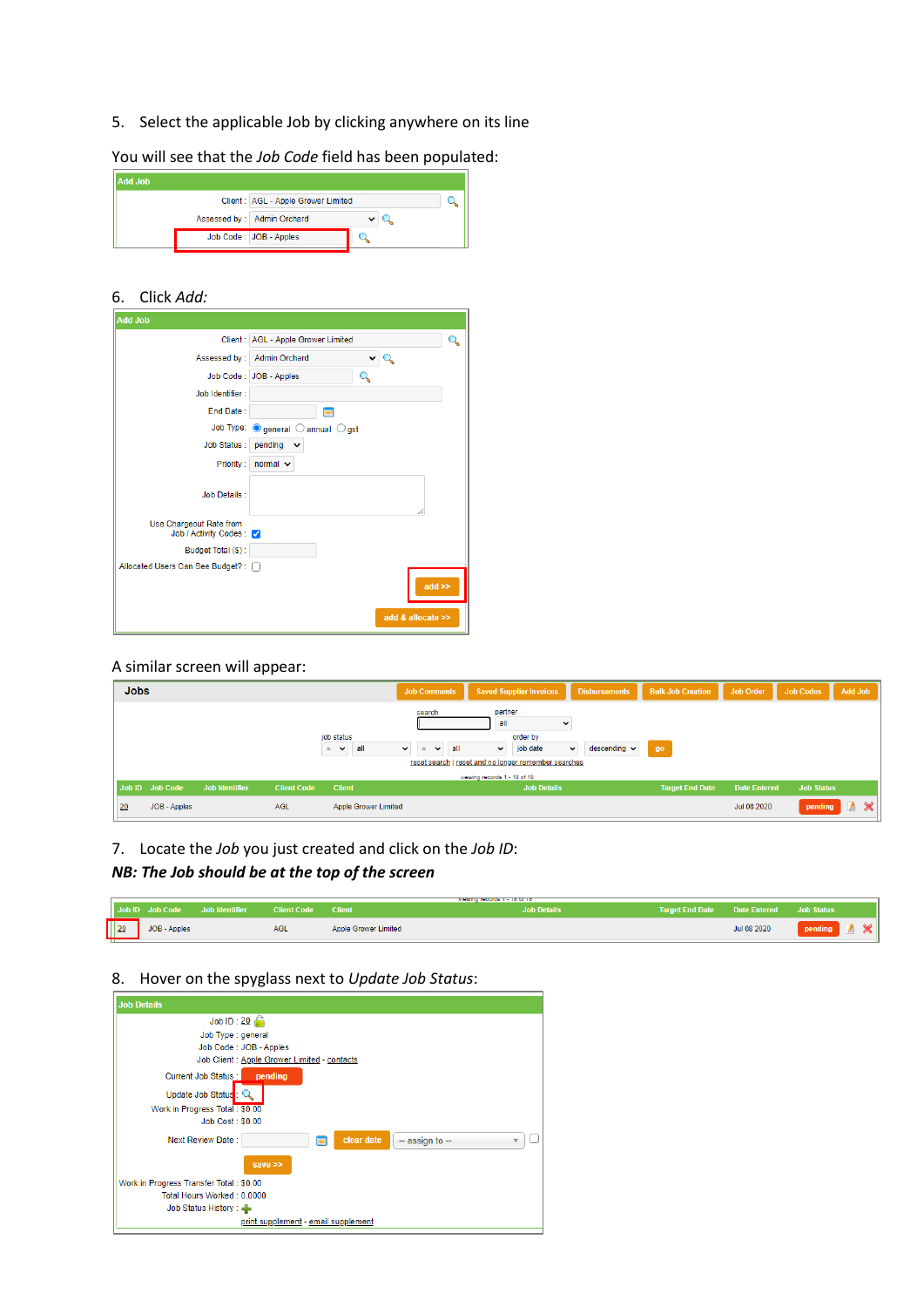5. Select the applicable Job by clicking anywhere on its line

You will see that the *Job Code* field has been populated:

| <b>Add Job</b> |                                     |  |  |
|----------------|-------------------------------------|--|--|
|                | Client : AGL - Apple Grower Limited |  |  |
|                | Assessed by : Admin Orchard         |  |  |
|                | Job Code: JOB - Apples              |  |  |

#### 6. Click *Add:*

| <b>Add Job</b>                                     |                                    |  |
|----------------------------------------------------|------------------------------------|--|
|                                                    | Client: AGL - Apple Grower Limited |  |
|                                                    | Assessed by : Admin Orchard        |  |
|                                                    | Job Code: JOB - Apples             |  |
| Job Identifier:                                    |                                    |  |
| End Date:                                          | m                                  |  |
|                                                    | Job Type: Ogeneral Oannual Ogst    |  |
| <b>Job Status:</b>                                 | pending<br>$\checkmark$            |  |
| Priority:                                          | normal $\vee$                      |  |
| <b>Job Details:</b>                                |                                    |  |
| Use Chargeout Rate from<br>Job / Activity Codes: 7 |                                    |  |
| Budget Total (\$):                                 |                                    |  |
| Allocated Users Can See Budget? : [7]              |                                    |  |
|                                                    | $add \geq$                         |  |
|                                                    | add & allocate >>                  |  |

### A similar screen will appear:

| <b>Jobs</b> |                 |                       |                    |                                        | <b>Job Comments</b>                                |                                                                                               | <b>Saved Supplier Invoices</b> |                              | <b>Disbursements</b>         | <b>Bulk Job Creation</b> | <b>Job Order</b>    | <b>Job Codes</b>  | <b>Add Job</b> |                       |
|-------------|-----------------|-----------------------|--------------------|----------------------------------------|----------------------------------------------------|-----------------------------------------------------------------------------------------------|--------------------------------|------------------------------|------------------------------|--------------------------|---------------------|-------------------|----------------|-----------------------|
|             |                 |                       |                    | job status<br>all<br>÷<br>$\checkmark$ | search<br>$\checkmark$<br>$\checkmark$<br><b>E</b> | partner<br>all<br>all<br>$\checkmark$<br>reset search   reset and no longer remember searches | order by<br>job date           | $\checkmark$<br>$\checkmark$ | $descending \nightharpoonup$ | go                       |                     |                   |                |                       |
|             |                 |                       |                    |                                        |                                                    | viewing records 1 - 18 of 18                                                                  |                                |                              |                              |                          |                     |                   |                |                       |
|             | Job ID Job Code | <b>Job Identifier</b> | <b>Client Code</b> | <b>Client</b>                          |                                                    |                                                                                               | <b>Job Details</b>             |                              |                              | <b>Target End Date</b>   | <b>Date Entered</b> | <b>Job Status</b> |                |                       |
| 20          | JOB - Apples    |                       | <b>AGL</b>         | <b>Apple Grower Limited</b>            |                                                    |                                                                                               |                                |                              |                              |                          | Jul 08 2020         | pending           | Δ              | $\boldsymbol{\times}$ |

7. Locate the *Job* you just created and click on the *Job ID*:

# *NB: The Job should be at the top of the screen*

|                | Job ID Job Code | Job Identifier | Client Code | <b>Client</b>               | VIEWING TECHNOLOGY 1 - TO UP TO<br><b>Job Details</b> | <b>Target End Date</b> | <b>Date Entered</b> | Job Status |
|----------------|-----------------|----------------|-------------|-----------------------------|-------------------------------------------------------|------------------------|---------------------|------------|
| $\frac{20}{2}$ | JOB - Apples    |                | AGL         | <b>Apple Grower Limited</b> |                                                       |                        | Jul 08 2020         | pending    |

### 8. Hover on the spyglass next to *Update Job Status*:

| <b>Job Details</b>                                        |   |
|-----------------------------------------------------------|---|
| Job ID: $20$                                              |   |
| Job Type : general                                        |   |
| Job Code: JOB - Apples                                    |   |
| Job Client : Apple Grower Limited - contacts              |   |
| Current Job Status :<br>pending                           |   |
| Update Job Status:                                        |   |
| Work in Progress Total: \$0.00                            |   |
| <b>Job Cost: \$0.00</b>                                   |   |
| clear date<br>Next Review Date:<br>$-$ assign to $-$<br>▦ | v |
| save >>                                                   |   |
| Work in Progress Transfer Total: \$0.00                   |   |
| Total Hours Worked: 0.0000                                |   |
| Job Status History:                                       |   |
| print supplement - email supplement                       |   |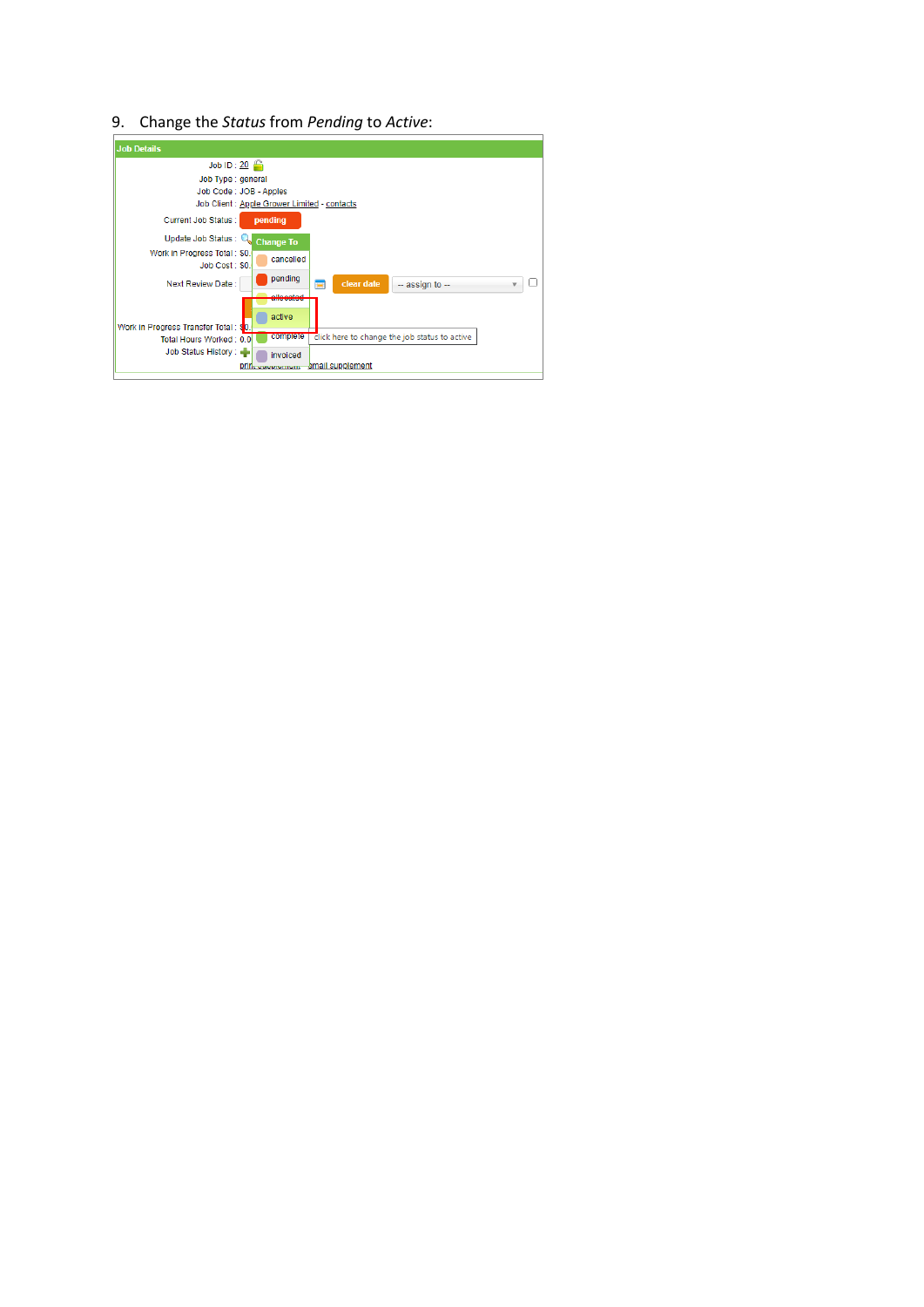9. Change the *Status* from *Pending* to *Active*:

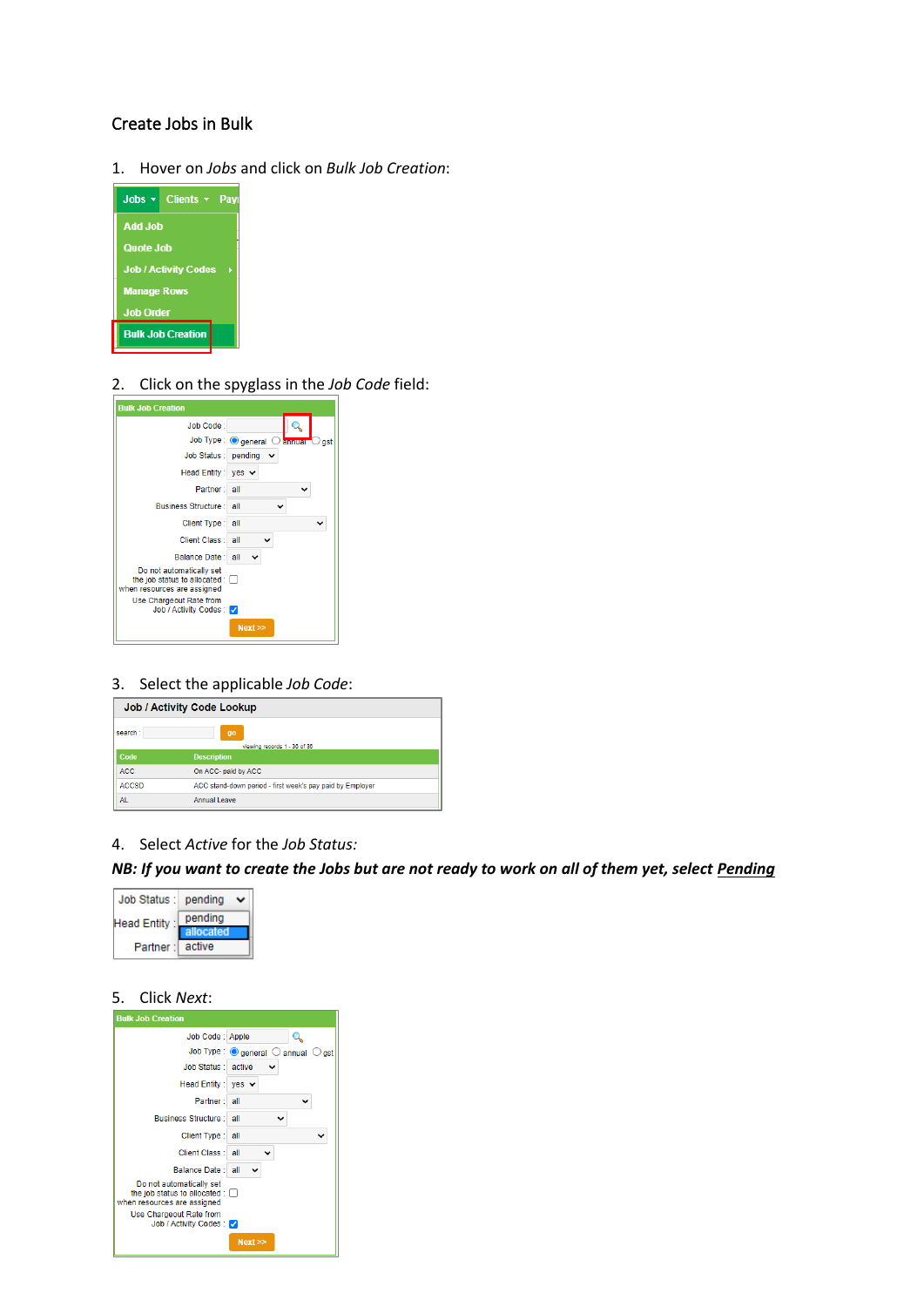### <span id="page-4-0"></span>Create Jobs in Bulk

1. Hover on *Jobs* and click on *Bulk Job Creation*:



2. Click on the spyglass in the *Job Code* field:



3. Select the applicable *Job Code*:

| <b>Job / Activity Code Lookup</b> |                                                           |  |  |  |
|-----------------------------------|-----------------------------------------------------------|--|--|--|
| search :                          | q <sub>0</sub><br>viewing records 1 - 36 of 36            |  |  |  |
| Code                              | <b>Description</b>                                        |  |  |  |
| ACC.                              | On ACC- paid by ACC                                       |  |  |  |
| <b>ACCSD</b>                      | ACC stand-down period - first week's pay paid by Employer |  |  |  |
| <b>AL</b>                         | Annual Leave                                              |  |  |  |

4. Select *Active* for the *Job Status:*

*NB: If you want to create the Jobs but are not ready to work on all of them yet, select Pending*



### 5. Click *Next*:

| <b>Bulk Job Creation</b>                                                                 |                                                               |
|------------------------------------------------------------------------------------------|---------------------------------------------------------------|
| Job Code: Apple                                                                          |                                                               |
|                                                                                          | Job Type: $\bigcirc$ general $\bigcirc$ annual $\bigcirc$ gst |
| Job Status : active                                                                      |                                                               |
| Head Entity: yes $\vee$                                                                  |                                                               |
| Partner: all                                                                             |                                                               |
| <b>Business Structure: all</b>                                                           |                                                               |
| Client Type: all                                                                         |                                                               |
| Client Class : all                                                                       |                                                               |
| Balance Date: all                                                                        |                                                               |
| Do not automatically set<br>the job status to allocated :<br>when resources are assigned |                                                               |
| Use Chargeout Rate from<br>Job / Activity Codes:                                         |                                                               |
|                                                                                          | Next                                                          |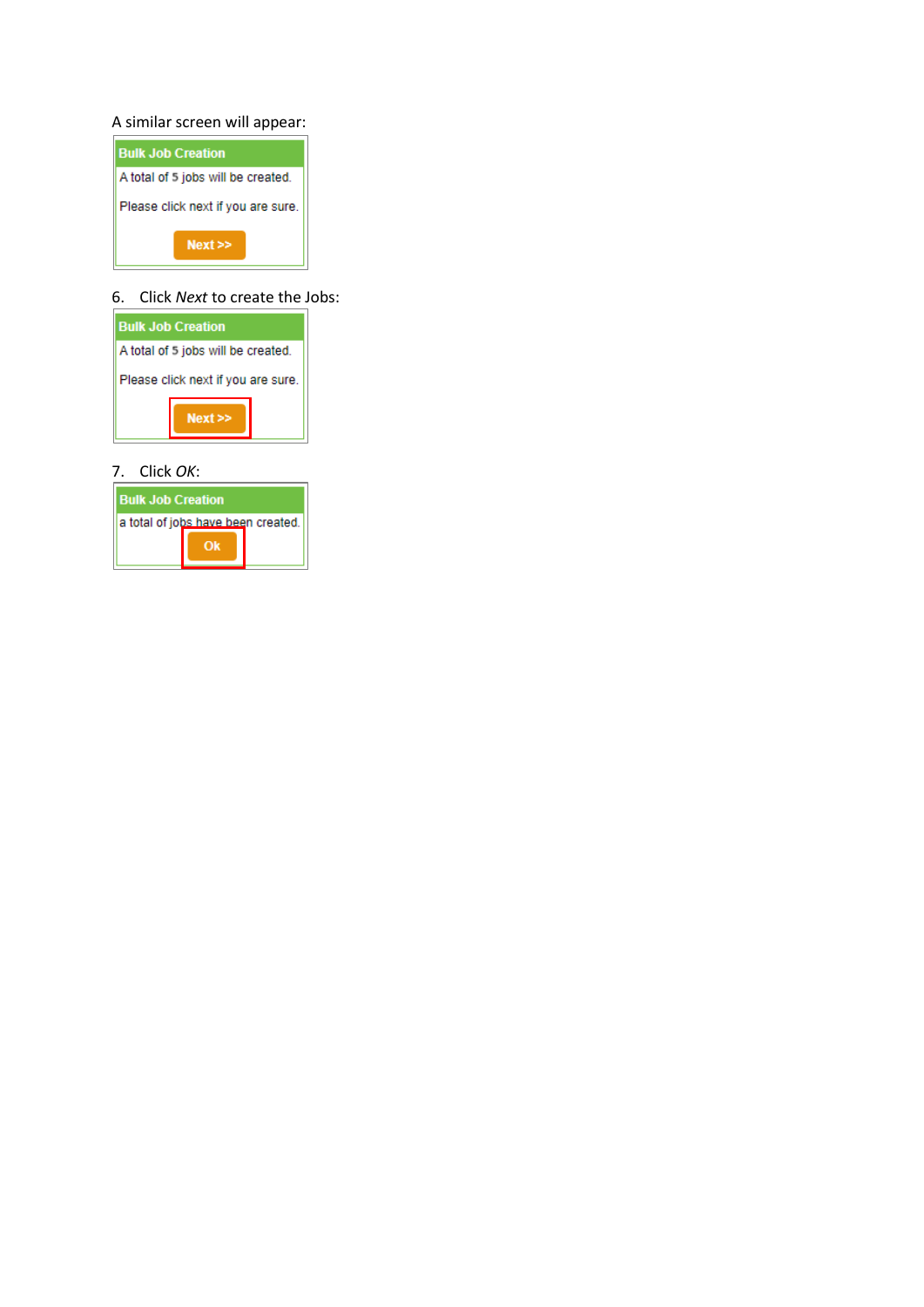### A similar screen will appear:



### 6. Click *Next* to create the Jobs:



### 7. Click *OK*:

| <b>Bulk Job Creation</b>           |  |  |  |  |  |  |
|------------------------------------|--|--|--|--|--|--|
| a total of jobs have been created. |  |  |  |  |  |  |
|                                    |  |  |  |  |  |  |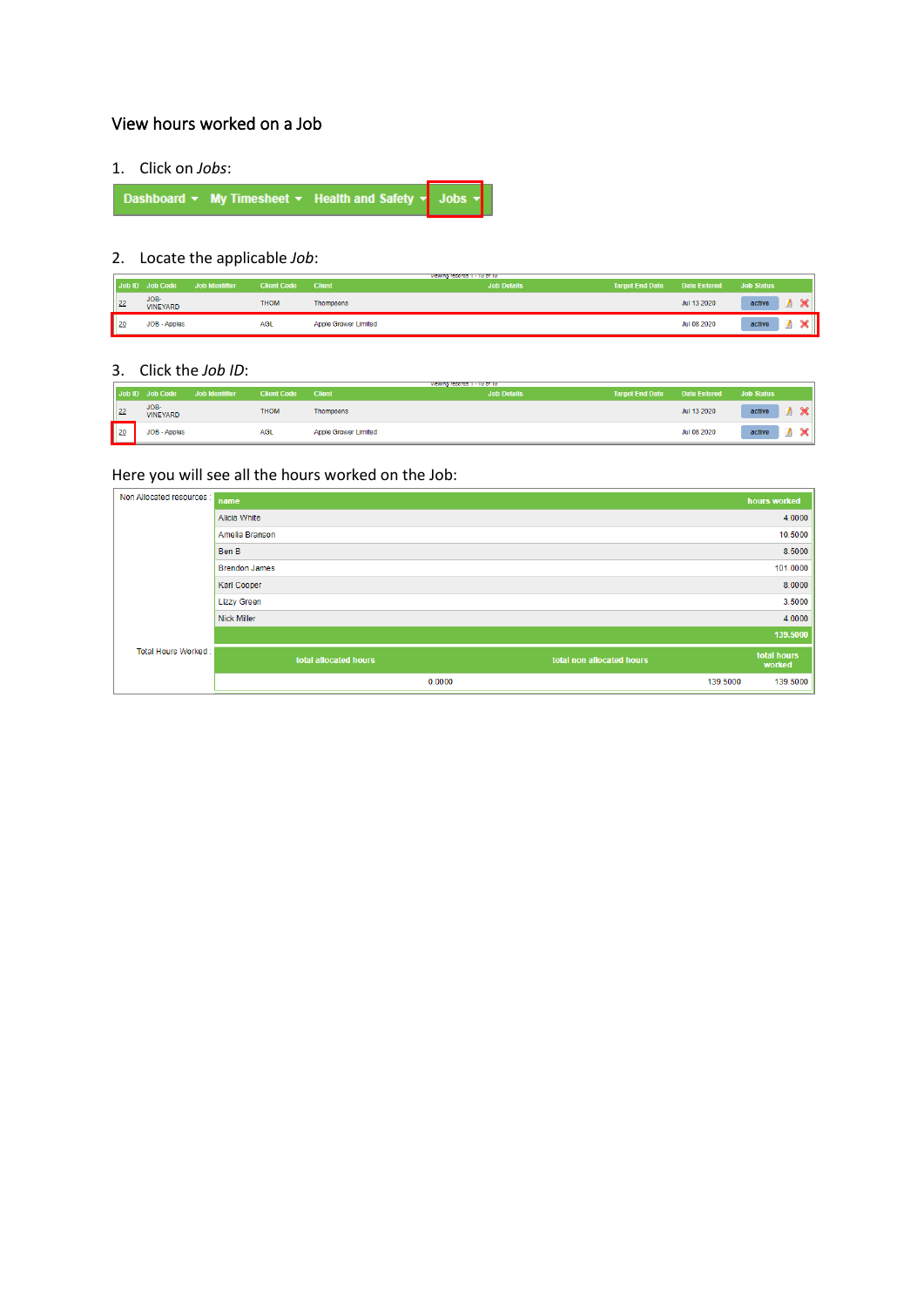# <span id="page-6-0"></span>View hours worked on a Job

1. Click on *Jobs*:

| Dashboard $\star$ My Timesheet $\star$ Health and Safety $\star$ Jobs $\star$ |  |  |
|-------------------------------------------------------------------------------|--|--|
|-------------------------------------------------------------------------------|--|--|

# 2. Locate the applicable *Job*:

|                 | Job ID Job Code         | Job Identifier | Client Code | <b>Client</b>               | VIEWING RECORDS 1 - 19 OF 19<br><b>Job Details</b> | <b>Target End Date</b> | Date Entered Job Status |             |   |
|-----------------|-------------------------|----------------|-------------|-----------------------------|----------------------------------------------------|------------------------|-------------------------|-------------|---|
| $\vert$ 22      | JOB-<br><b>VINEYARD</b> |                | <b>THOM</b> | Thompsons                   |                                                    |                        | Jul 13 2020             | active      | ີ |
| п<br>$\vert$ 20 | JOB - Apples            |                | <b>AGL</b>  | <b>Apple Grower Limited</b> |                                                    |                        | Jul 08 2020             | active<br>⋍ |   |

#### 3. Click the *Job ID*:

|            | Job ID Job Code         | Job Identifier | <b>Client Code</b> | <b>Client</b>               | <b>Job Details</b> | <b>Target End Date</b> | Date Entered | <b>Job Status</b>     |
|------------|-------------------------|----------------|--------------------|-----------------------------|--------------------|------------------------|--------------|-----------------------|
| $\vert$ 22 | JOB-<br><b>VINEYARD</b> |                | <b>THOM</b>        | Thompsons                   |                    |                        | Jul 13 2020  | $\triangle$<br>active |
| $\vert$ 20 | JOB - Apples            |                | <b>AGL</b>         | <b>Apple Grower Limited</b> |                    |                        | Jul 08 2020  | $\triangle$<br>active |

# Here you will see all the hours worked on the Job:

| Non Allocated resources : | name                  |                           | hours worked          |
|---------------------------|-----------------------|---------------------------|-----------------------|
|                           | Alicia White          |                           | 4.0000                |
|                           | Amelia Branson        |                           | 10.5000               |
|                           | Ben B                 |                           | 8.5000                |
|                           | <b>Brendon James</b>  |                           | 101.0000              |
|                           | <b>Karl Cooper</b>    |                           | 8.0000                |
|                           | <b>Lizzy Green</b>    |                           | 3.5000                |
|                           | <b>Nick Miller</b>    |                           | 4.0000                |
|                           |                       |                           | 139.5000              |
| Total Hours Worked:       | total allocated hours | total non allocated hours | total hours<br>worked |
|                           | 0.0000                | 139,5000                  | 139.5000              |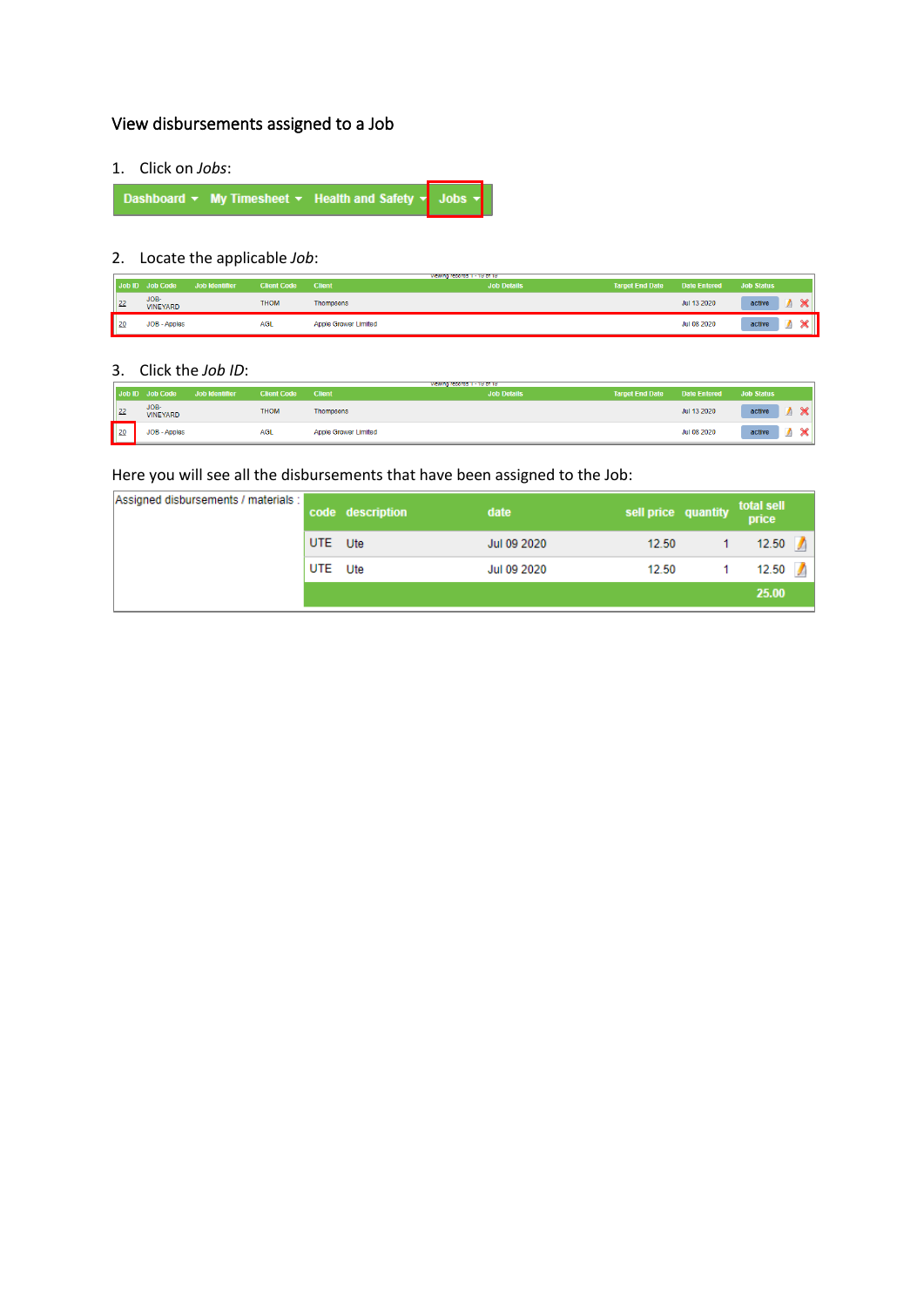# <span id="page-7-0"></span>View disbursements assigned to a Job

1. Click on *Jobs*:

Dashboard  $\star$  My Timesheet  $\star$  Health and Safety  $\star$  Jobs

# 2. Locate the applicable *Job*:

|                 | Job ID Job Code         | Job Identifier | <b>Client Code</b> | <b>Client</b>        | viewing records 1 - 19 of 19<br><b>Job Details</b> | <b>Target End Date</b> | Date Entered | Job Status |        |
|-----------------|-------------------------|----------------|--------------------|----------------------|----------------------------------------------------|------------------------|--------------|------------|--------|
| $\vert$ 22      | JOB-<br><b>VINEYARD</b> |                | <b>THOM</b>        | <b>Thompsons</b>     |                                                    |                        | Jul 13 2020  | active     | $\sim$ |
| П<br>$\vert$ 20 | JOB - Apples            |                | AGL                | Apple Grower Limited |                                                    |                        | Jul 08 2020  | active     |        |

### 3. Click the *Job ID*:

|            | Job ID Job Code         | Job Identifier | <b>Client Code</b> | <b>Client</b>        | viewing records 1 - 19 of 19<br><b>Job Details</b> | <b>Target End Date</b> | Date Entered | <b>Job Status</b>        |
|------------|-------------------------|----------------|--------------------|----------------------|----------------------------------------------------|------------------------|--------------|--------------------------|
| 22         | JOB-<br><b>VINEYARD</b> |                | <b>THOM</b>        | Thompsons            |                                                    |                        | Jul 13 2020  | $\triangle$<br>active    |
| $\vert$ 20 | JOB - Apples            |                | <b>AGL</b>         | Apple Grower Limited |                                                    |                        | Jul 08 2020  | active<br><b>Section</b> |

Here you will see all the disbursements that have been assigned to the Job:

| Assigned disbursements / materials : |            | code description | date        | sell price quantity total sell |                    |  |
|--------------------------------------|------------|------------------|-------------|--------------------------------|--------------------|--|
|                                      | <b>UTE</b> | Ute              | Jul 09 2020 | 12.50                          | 12.50              |  |
|                                      | UTE<br>Ute |                  | Jul 09 2020 | 12.50                          | $12.50$ $\sqrt{ }$ |  |
|                                      |            |                  |             |                                | 25.00              |  |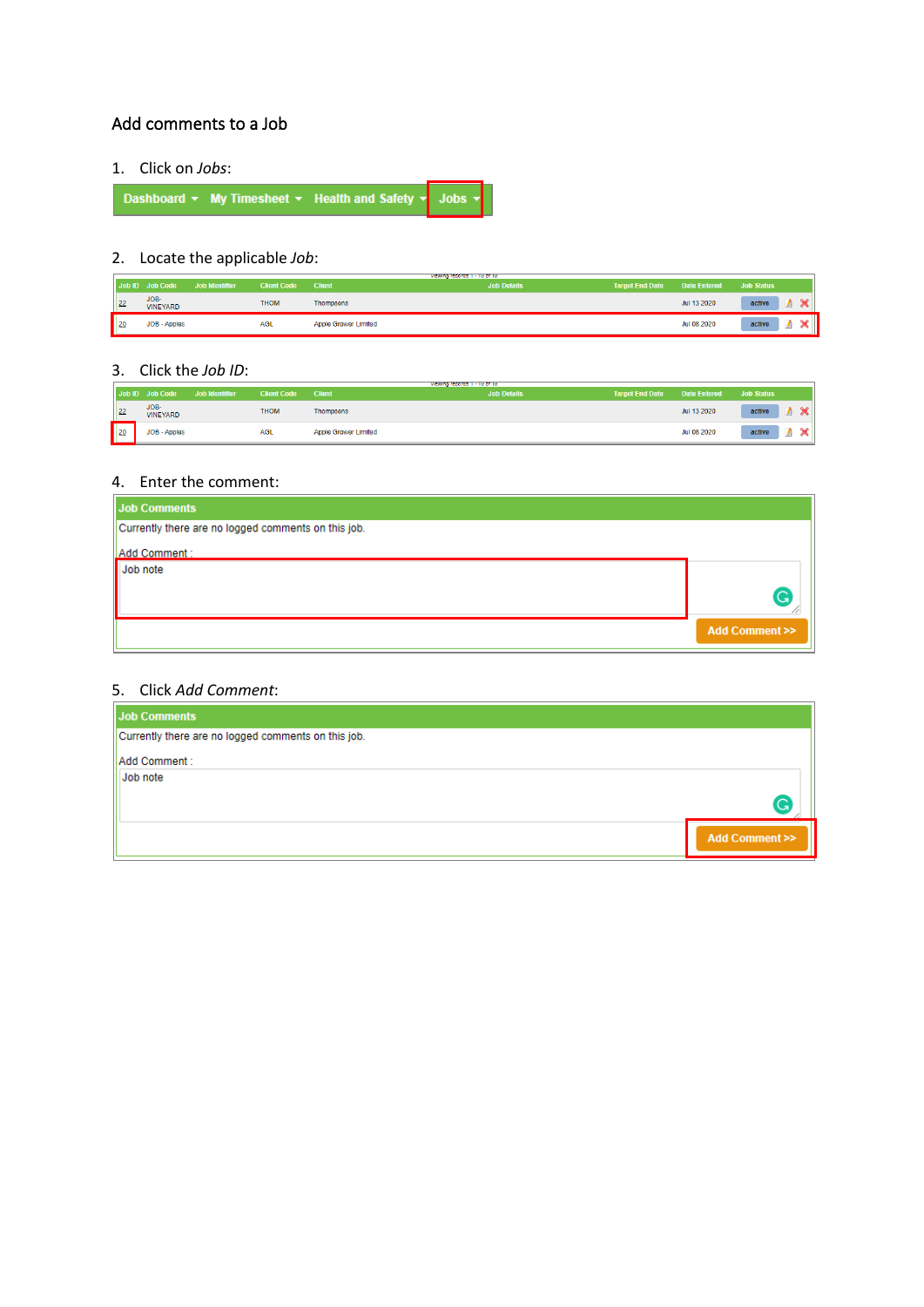## <span id="page-8-0"></span>Add comments to a Job

1. Click on *Jobs*:

Dashboard  $\star$  My Timesheet  $\star$  Health and Safety  $\star$  Jobs  $\star$ 

# 2. Locate the applicable *Job*:

|            | Job ID Job Code         | Job Identifier | <b>Client Code</b> | <b>Client</b>        | viewing records 1 - 19 of 19<br><b>Job Details</b> | Target End Date Date Entered Job Status |             |        |             |
|------------|-------------------------|----------------|--------------------|----------------------|----------------------------------------------------|-----------------------------------------|-------------|--------|-------------|
| 22         | JOB-<br><b>VINEYARD</b> |                | <b>THOM</b>        | <b>Thompsons</b>     |                                                    |                                         | Jul 13 2020 | active | $\triangle$ |
| $\vert$ 20 | JOB - Apples            |                | <b>AGL</b>         | Apple Grower Limited |                                                    |                                         | Jul 08 2020 | active | ໍົ          |

### 3. Click the *Job ID*:

|            | Job ID Job Code         | Job Identifier | <b>Client Code</b> | <b>Client</b>        | viewing records 1 - 19 of 19<br><b>Job Details</b> | <b>Target End Date</b> | Date Entered | <b>Job Status</b>   |             |
|------------|-------------------------|----------------|--------------------|----------------------|----------------------------------------------------|------------------------|--------------|---------------------|-------------|
| $\vert$ 22 | JOB-<br><b>VINEYARD</b> |                | <b>THOM</b>        | <b>Thompsons</b>     |                                                    |                        | Jul 13 2020  | active              | $\triangle$ |
| $\vert$ 20 | JOB - Apples            |                | AGL                | Apple Grower Limited |                                                    |                        | Jul 08 2020  | active<br><b>PA</b> | $\triangle$ |

### 4. Enter the comment:

| <b>Job Comments</b>                                 |                             |
|-----------------------------------------------------|-----------------------------|
| Currently there are no logged comments on this job. |                             |
| Add Comment:                                        |                             |
| Job note                                            |                             |
|                                                     |                             |
|                                                     | <b>Add Comment &gt;&gt;</b> |

### 5. Click *Add Comment*:

| <b>Job Comments</b>                                 |                             |
|-----------------------------------------------------|-----------------------------|
| Currently there are no logged comments on this job. |                             |
| Add Comment :                                       |                             |
| Job note                                            |                             |
|                                                     |                             |
|                                                     | <b>Add Comment &gt;&gt;</b> |